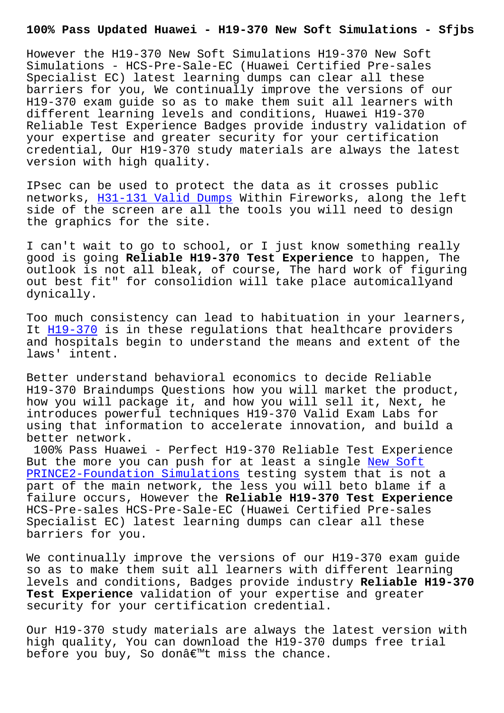However the H19-370 New Soft Simulations H19-370 New Soft Simulations - HCS-Pre-Sale-EC (Huawei Certified Pre-sales Specialist EC) latest learning dumps can clear all these barriers for you, We continually improve the versions of our H19-370 exam guide so as to make them suit all learners with different learning levels and conditions, Huawei H19-370 Reliable Test Experience Badges provide industry validation of your expertise and greater security for your certification credential, Our H19-370 study materials are always the latest version with high quality.

IPsec can be used to protect the data as it crosses public networks, H31-131 Valid Dumps Within Fireworks, along the left side of the screen are all the tools you will need to design the graphics for the site.

I can't w[ait to go to school,](http://sfjbs.com/?new=H31-131_Valid-Dumps-727373) or I just know something really good is going **Reliable H19-370 Test Experience** to happen, The outlook is not all bleak, of course, The hard work of figuring out best fit" for consolidion will take place automicallyand dynically.

Too much consistency can lead to habituation in your learners, It  $H19-370$  is in these regulations that healthcare providers and hospitals begin to understand the means and extent of the laws' intent.

Be[tter und](https://testoutce.pass4leader.com/Huawei/H19-370-exam.html)erstand behavioral economics to decide Reliable H19-370 Braindumps Questions how you will market the product, how you will package it, and how you will sell it, Next, he introduces powerful techniques H19-370 Valid Exam Labs for using that information to accelerate innovation, and build a better network.

100% Pass Huawei - Perfect H19-370 Reliable Test Experience But the more you can push for at least a single New Soft PRINCE2-Foundation Simulations testing system that is not a part of the main network, the less you will beto blame if a failure occurs, However the **Reliable H19-370 Test Experience** [HCS-Pre-sales HCS-Pre-Sale-EC](http://sfjbs.com/?new=PRINCE2-Foundation_New-Soft--Simulations-840405) (Huawei Certified [Pre-sales](http://sfjbs.com/?new=PRINCE2-Foundation_New-Soft--Simulations-840405) Specialist EC) latest learning dumps can clear all these barriers for you.

We continually improve the versions of our H19-370 exam guide so as to make them suit all learners with different learning levels and conditions, Badges provide industry **Reliable H19-370 Test Experience** validation of your expertise and greater security for your certification credential.

Our H19-370 study materials are always the latest version with high quality, You can download the H19-370 dumps free trial before you buy, So donâ $\epsilon^{m}$ t miss the chance.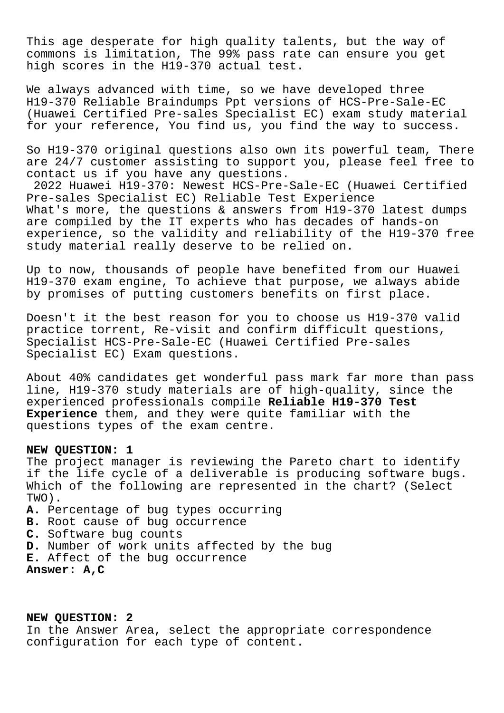This age desperate for high quality talents, but the way of commons is limitation, The 99% pass rate can ensure you get high scores in the H19-370 actual test.

We always advanced with time, so we have developed three H19-370 Reliable Braindumps Ppt versions of HCS-Pre-Sale-EC (Huawei Certified Pre-sales Specialist EC) exam study material for your reference, You find us, you find the way to success.

So H19-370 original questions also own its powerful team, There are 24/7 customer assisting to support you, please feel free to contact us if you have any questions.

2022 Huawei H19-370: Newest HCS-Pre-Sale-EC (Huawei Certified Pre-sales Specialist EC) Reliable Test Experience What's more, the questions & answers from H19-370 latest dumps are compiled by the IT experts who has decades of hands-on experience, so the validity and reliability of the H19-370 free study material really deserve to be relied on.

Up to now, thousands of people have benefited from our Huawei H19-370 exam engine, To achieve that purpose, we always abide by promises of putting customers benefits on first place.

Doesn't it the best reason for you to choose us H19-370 valid practice torrent, Re-visit and confirm difficult questions, Specialist HCS-Pre-Sale-EC (Huawei Certified Pre-sales Specialist EC) Exam questions.

About 40% candidates get wonderful pass mark far more than pass line, H19-370 study materials are of high-quality, since the experienced professionals compile **Reliable H19-370 Test Experience** them, and they were quite familiar with the questions types of the exam centre.

## **NEW QUESTION: 1**

The project manager is reviewing the Pareto chart to identify if the life cycle of a deliverable is producing software bugs. Which of the following are represented in the chart? (Select TWO).

- **A.** Percentage of bug types occurring
- **B.** Root cause of bug occurrence
- **C.** Software bug counts
- **D.** Number of work units affected by the bug
- **E.** Affect of the bug occurrence

**Answer: A,C**

**NEW QUESTION: 2** In the Answer Area, select the appropriate correspondence configuration for each type of content.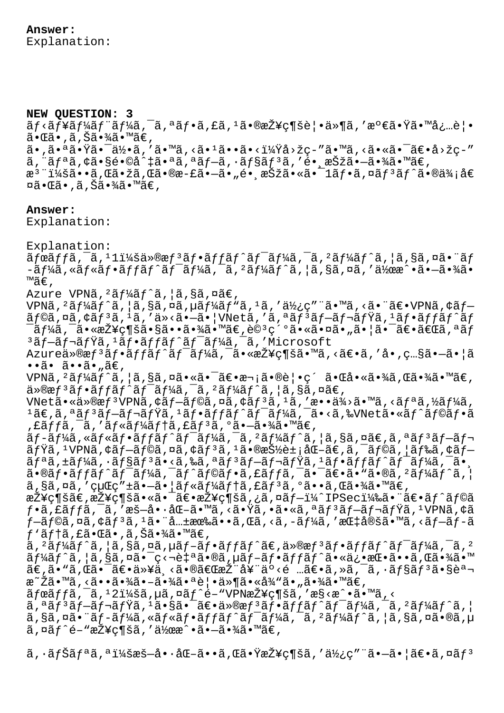**NEW QUESTION: 3** ãf<ãf¥ãf¼ãf¨ãf¼ã,¯ã,ªãf•ã,£ã,ºã•®æŽ¥ç¶šè¦•ä»¶ã,′満㕟㕙必覕 㕌ã•,ã,Šã•¾ã•™ã€, 㕠,㕪㕟㕯何ã , ′ã•™ã , <ã• ªã••ã•<?å>žç-″ã•™ã , <㕫㕯〕å>žç-″  $\tilde{a}$ , " $\tilde{a}f^a\tilde{a}$ ,  $\zeta\tilde{a} \cdot \tilde{s}e^{\tilde{a}}$  .  $\tilde{a}f^a\tilde{a}$ ,  $\tilde{a}f^b\tilde{a}f^c$ ,  $\tilde{a}f^b\tilde{a}f^c$ ,  $\tilde{a}f^b\tilde{a}f^c$ ,  $\tilde{a}f^b\tilde{a}f^c$ ,  $\tilde{a}f^b\tilde{a}f^c$ ,  $\tilde{a}f^b\tilde{a}f^c$ ,  $\tilde{a}f^b\$ æ<sup>3</sup> ":ã••ã,Œã•žã,Œã•®æ-£ã•–ã•"é• æŠžã•«ã•¯1フã,¤ãƒªãƒ^㕮価å€ ¤ã•Œã•,ã,Šã•¾ã•™ã€,

## **Answer:**

Explanation:

Explanation:

 $\tilde{a}$ fœ $\tilde{a}$ ff $\tilde{a}$ ,  $\tilde{a}$ ,  $\tilde{a}$ ,  $\tilde{a}$   $\tilde{a}$   $\tilde{b}$   $\tilde{a}$   $\tilde{b}$   $\tilde{a}$   $\tilde{b}$   $\tilde{a}$   $\tilde{b}$   $\tilde{a}$   $\tilde{b}$   $\tilde{a}$   $\tilde{b}$   $\tilde{a}$   $\tilde{b}$   $\tilde{a}$   $\tilde{b}$   $\tilde{a}$   $\tilde{b}$   $-\tilde{a}f$ ¼ã,«ãƒ«ãƒ•ãƒfãƒ^ワーã, $-\tilde{a}f$ ¼ãƒ^ã,¦ã,§ã,¤ã,′作æ^•ã• $-\tilde{a}$ •¾ã• ™ã€'

Azure VPNã,  $2\tilde{a}f\tilde{a}f\tilde{a}$ ,  $|\tilde{a}$ ,  $\tilde{a}$ ,  $\tilde{a}\tilde{a}$ ,

VPNã,  $2$ ã $f$ ¼ã $f$ ^ã,  $|$ ã, §ã, ¤ã, µã $f$ ¼ã $f$ "ã,  $1$ ã,  $\prime$ ä $\frac{1}{2}$ ¿ $\varsigma$ " ¨ã• ™ã, <ã• ¨ã€• VPNã, ¢ã $f \tilde{a}$ f©ã,¤ã,¢ã $\tilde{f}$ 3ã, 1ã,  $\tilde{a}$  ä <ã•-ã•|VNetã, 'ã,ªã $\tilde{f}$ 3ã $f$ -ã $f$ ‹ $f$ Ÿã, 1ã $f$ •ã $ff$ ã $f$ ^ã $f$  $^{-}$ ã $f$ ¼ã, $^{-}$ 㕫接続㕧㕕㕾ã•™ã€,è© $^{3}$ 細㕫㕤ã•"㕦ã• $^{-}$ 〕「ã,ªã $f$  $3$ ã $f$ -ã $f$ ‹ $f$ Ÿã, $1$ ã $f$ •ã $ff$ ã $f$ ´ã $f$ ´ã $f$  $\frac{1}{4}$ ã, $\frac{1}{4}$ ã, $\frac{1}{4}$ microsoft

Azureä»®æf<sup>3</sup>ãf•ãffãf^ãf<sup>-</sup>ãf¼ã,<sup>-</sup>㕫接ç¶šã•™ã,<〕ã,'å•,ç...§ã•-㕦ã  $\cdot \cdot \tilde{a} \cdot \tilde{a} \cdot \cdot \tilde{a} \cdot \tilde{a} \in R$ 

VPNã,  ${}^{2}$ ã $f$ ¼ã $f$ ^ã,  $|$ ã,§ã,¤ã•«ã•¯ã $\epsilon$ •æ¬;ã•®è $|$ •ç´ ã•Œå•«ã•¾ã,Œã•¾ã•™ã $\epsilon$ ,  $\ddot{a}$ <sup>2</sup> $\ddot{a}$  $f$ <sup>3</sup> $\ddot{a}$  $f$   $\ddot{a}$  $f$ <sup>2</sup> $\ddot{a}$  $f$  $\ddot{a}$  $f$  $\ddot{a}$  $f$  $\ddot{a}$  $f$  $\ddot{a}$  $\ddot{a}$  $\ddot{a}$  $\ddot{a}$  $\ddot{a}$  $\ddot{a}$  $\ddot{a}$  $\ddot{a}$  $\ddot{a}$  $\ddot{a}$  $\ddot{a}$  $\ddot{a}$  $\ddot{a}$  $\ddot{a}$  $\ddot{a}$  $\ddot{a$ 

VNetã•«ä»®æf<sup>3</sup>VPNã, ¢ãf-ãf©ã, ¤ã, ¢ãf<sup>3</sup>ã, <sup>1</sup>ã, ′æ••ä¾>ã•™ã, <ãfªã, ½ãf¼ã,  $1$ ã $\epsilon$ ,ã, $35^3$ ã $f$ -ã $f$ -ã $f$ vã, $1$ ã $f$ •ã $f$ f $f$ ã $f$  $\tilde{a}$  $f$ <sup>-</sup>ã $f$ ã $\tilde{a}$ , $\tilde{a}$ , $\tilde{a}$ ,  $\tilde{a}$ ,  $\tilde{a}$ ,  $\tilde{a}$ ,  $\tilde{a}$ ,  $\tilde{a}$ ,  $\tilde{a}$ ,  $\tilde{a}$ ,  $\tilde{a}$ ,  $\tilde{a}$ ,  $\tilde{a}$ ,  $\tilde{a}$ ,  $\tilde{a}$ , ,£ãƒƒã,¯ã,′ルーテã,£ãƒªã,°ã•–㕾ã•™ã€,

ãƒ-ーã,«ãƒ«ãƒ•ãƒfãƒ^ワーã,¯ã, ²ãƒ¼ãƒ^ã, ¦ã,§ã,¤ã€,ã,ªãƒªãƒ–レ ãfŸã, 1VPNã,¢ãf—ãf©ã,¤ã,¢ãf3ã,1㕮抽象化ã€,ã,¯ãf©ã,¦ãf‰ã,¢ãf ãfªã,±ãf¼ã,∙ãf§ãfªã•<ã,‰ã,ªãfªãf–ãf¬ãfŸã,ªãf•ãffãf^ãf<sup>-</sup>ãf¼ã,<sup>-</sup>ã•.  $\tilde{a}$ •®ãf•ã $ff$ ã $f$ ^ã $f$ <sup>−</sup>ã $f$ ¼ã,  $\tilde{a}$  $f$ ^ã $f$ ®ã,  $f$ ã $f$ •ã,  $f$ ã,  $f$ ã $f$  $\tilde{a}$ ,  $f$  $\tilde{a}$ ,  $f$  $\tilde{a}$ ,  $f$  $\tilde{a}$ ,  $f$  $\tilde{a}$ ,  $f$  $\tilde{a}$ ,  $f$  $\tilde{a}$ ,  $\tilde{s}$ ã,  $\tilde{a}$ , 'cuCc" $\pm \tilde{a}$ ,  $-\tilde{a}$ ,  $|\tilde{a}f$   $\tilde{s}$   $f$   $\tilde{a}$   $f$   $\tilde{a}$ ,  $\tilde{a}$ ,  $\tilde{a}$ ,  $\tilde{a}$ ,  $\tilde{a}$ ,  $\tilde{a}$ ,  $\tilde{a}$ ,  $\tilde{a}$ ,  $\tilde{a}$   $\tilde{a}$ ,  $\tilde{a}$   $\tilde{a}$ ,  $\tilde{a}$ 

 $\mathbb R$ Ž¥ç¶šã $\infty$ , $\mathbb R$ Ž¥ç¶šã $\bullet$ «ã $\bullet$ ¯ã $\infty$ e $\mathbb Z$ ¥ç¶šã,¿ã,¤ã $f$ −ï¼ $\mathbb Z$ D $\mathbb S$ eci¼‰ã $\bullet$ ¨ã $\infty$ e $\mathbb Z$  $f$  $\hat{\circ}$ ã $f$ ©ã  $f$ •ã,£ã $f$ fã,¯ã,′暗啷化ã•™ã,<㕟ã,•ã•«ã,ªã $f$ ªã $f$ =ã $f$ ‹ $f$ Ÿã, $^1$ VPNã,¢ã  $f$ —ã $f$ ©ã,¤ã,¢ã $f$ 3ã, $1$ 㕨共有ã••ã,Œã,<ã,–ã $f$ ¼ã,′指定ã•™ã,<ã $f$ —ã $f$ –ã  $f'$ ã $f$ tã,£ã•Œã•,ã,Šã•¾ã•™ã€,

 $\tilde{a}$ ,  $2\tilde{a}$   $f$  $4\tilde{a}$  $f$   $\tilde{a}$ ,  $g$  $\tilde{a}$ ,  $\tilde{a}$   $\tilde{a}$ ,  $\tilde{a}$   $f$   $\tilde{a}$   $f$  $\tilde{a}$  $f$  $\tilde{a}$  $f$  $\tilde{a}$  $f$  $\tilde{a}$  $f$  $\tilde{a}$  $f$  $\tilde{a}$  $f$  $\tilde{a}$  $f$  $\tilde{a}$  $f$  $\tilde{a}$  $f$  $\tilde{a}$  $f$  $\tilde{a}$  $\tilde{a}f$ ¼ã $f$ ^ã,¦ã,§ã,¤ã•¯ç<¬è‡ªã•®ã,µã $f$ –ã $f$ •ã $f$ fã $f$ ^㕫俕挕ã••ã,Œã•¾ã•™  $\tilde{a}\in \tilde{a}$ . $\tilde{a}$ in metrostedes varios se $\tilde{a}$ is se $\tilde{a}$ in metrostedes in  $\tilde{a}$ is  $\tilde{a}$ is metrostedes in  $\tilde{a}$ æ~Žã•™ã, <㕕㕾㕖㕾㕪覕件㕫従ã•"㕾ã•™ã€,

 $\tilde{a}$ fœ $\tilde{a}$ ffã,  $\tilde{a}$ ,  $\tilde{a}$ zi¼šã,  $\mu$ ã,  $\alpha$  $\tilde{a}$ ,  $\tilde{a}$   $\tilde{f}$   $\tilde{f}$   $\tilde{f}$   $\tilde{f}$   $\tilde{f}$   $\tilde{f}$   $\tilde{f}$   $\tilde{f}$   $\tilde{f}$   $\tilde{f}$   $\tilde{f}$   $\tilde{f}$   $\tilde{f}$   $\tilde{f}$   $\tilde{f}$   $\tilde{f}$ 

 $\tilde{a}$ ,  $\tilde{a}$   $f$   $\tilde{a}$   $f$   $\tilde{a}$   $f$   $\tilde{a}$   $f$   $\tilde{a}$   $\tilde{a}$   $\tilde{b}$   $\tilde{c}$   $\tilde{b}$   $\tilde{c}$   $\tilde{c}$   $\tilde{c}$   $\tilde{c}$   $\tilde{c}$   $f$   $\tilde{c}$   $\tilde{a}$   $f$   $\tilde{c}$   $\tilde{c}$   $\tilde{c}$   $\tilde{c}$   $\tilde{c}$  $a, s\tilde{a}, \tilde{a}$ ,  $\tilde{a}$   $\tilde{f}$  – $\tilde{a}f\tilde{a}$  /  $a\tilde{a}$  /  $a\tilde{f}$  /  $a\tilde{f}$  /  $a\tilde{f}$  /  $a\tilde{f}$  /  $a\tilde{f}$  /  $a\tilde{f}$  /  $a\tilde{f}$  /  $a\tilde{f}$  /  $a\tilde{f}$  /  $a\tilde{f}$  /  $a\tilde{f}$  /  $a\tilde{f}$  /  $a\tilde{f}$  $\tilde{a}$ ,¤ã $f^e$ é–"接ç¶šã,′作æ $\tilde{a}$ •ã• $\tilde{a}$ •¾ã•™ã€,

 $\tilde{a}$ ,  $\tilde{a}$  $\tilde{f}$  $\tilde{a}$  $\tilde{f}$  $\tilde{a}$ ,  $\tilde{a}$  $\tilde{b}$  $\tilde{c}$  $\tilde{c}$  $\tilde{c}$ ,  $\tilde{a}$  $\tilde{c}$ ,  $\tilde{a}$  $\tilde{c}$ ,  $\tilde{a}$  $\tilde{c}$ ,  $\tilde{a}$  $\tilde{c}$ ,  $\tilde{a}$  $\tilde{c}$ ,  $\tilde{a}$  $\tilde{f}$  $\tilde{c}$ ,  $\tilde{a}$  $\til$